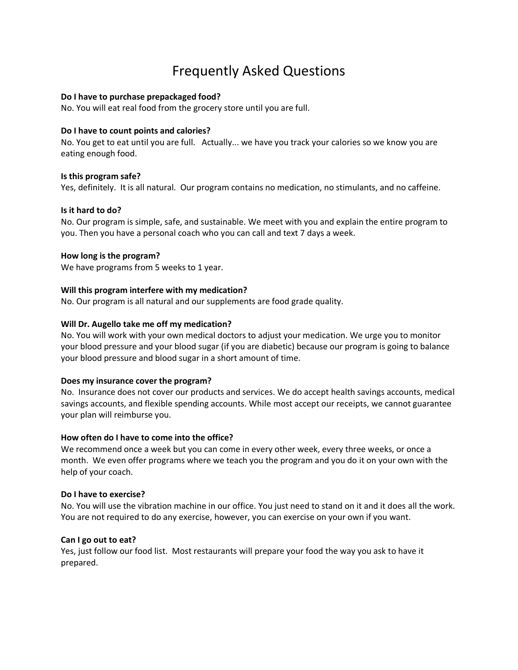# Frequently Asked Questions

## **Do I have to purchase prepackaged food?**

No. You will eat real food from the grocery store until you are full.

## **Do I have to count points and calories?**

No. You get to eat until you are full. Actually... we have you track your calories so we know you are eating enough food.

## **Is this program safe?**

Yes, definitely. It is all natural. Our program contains no medication, no stimulants, and no caffeine.

## **Is it hard to do?**

No. Our program is simple, safe, and sustainable. We meet with you and explain the entire program to you. Then you have a personal coach who you can call and text 7 days a week.

## **How long is the program?**

We have programs from 5 weeks to 1 year.

## **Will this program interfere with my medication?**

No. Our program is all natural and our supplements are food grade quality.

## **Will Dr. Augello take me off my medication?**

No. You will work with your own medical doctors to adjust your medication. We urge you to monitor your blood pressure and your blood sugar (if you are diabetic) because our program is going to balance your blood pressure and blood sugar in a short amount of time.

#### **Does my insurance cover the program?**

No. Insurance does not cover our products and services. We do accept health savings accounts, medical savings accounts, and flexible spending accounts. While most accept our receipts, we cannot guarantee your plan will reimburse you.

#### **How often do I have to come into the office?**

We recommend once a week but you can come in every other week, every three weeks, or once a month. We even offer programs where we teach you the program and you do it on your own with the help of your coach.

#### **Do I have to exercise?**

No. You will use the vibration machine in our office. You just need to stand on it and it does all the work. You are not required to do any exercise, however, you can exercise on your own if you want.

#### **Can I go out to eat?**

Yes, just follow our food list. Most restaurants will prepare your food the way you ask to have it prepared.